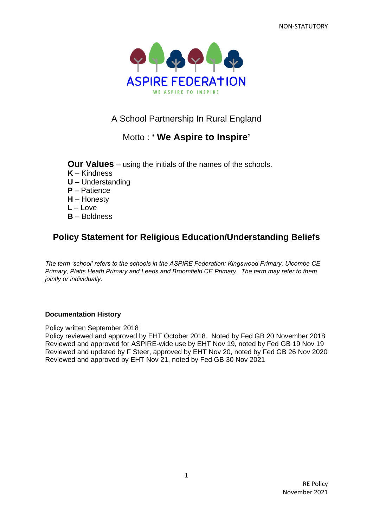

A School Partnership In Rural England

# Motto : **' We Aspire to Inspire'**

**Our Values** – using the initials of the names of the schools.

- **K** Kindness
- **U** Understanding
- **P** Patience
- **H** Honesty
- **L** Love
- **B** Boldness

# **Policy Statement for Religious Education/Understanding Beliefs**

*The term 'school' refers to the schools in the ASPIRE Federation: Kingswood Primary, Ulcombe CE Primary, Platts Heath Primary and Leeds and Broomfield CE Primary. The term may refer to them jointly or individually.*

### **Documentation History**

Policy written September 2018

Policy reviewed and approved by EHT October 2018. Noted by Fed GB 20 November 2018 Reviewed and approved for ASPIRE-wide use by EHT Nov 19, noted by Fed GB 19 Nov 19 Reviewed and updated by F Steer, approved by EHT Nov 20, noted by Fed GB 26 Nov 2020 Reviewed and approved by EHT Nov 21, noted by Fed GB 30 Nov 2021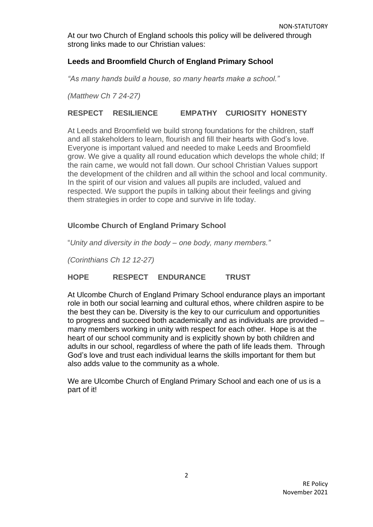At our two Church of England schools this policy will be delivered through strong links made to our Christian values:

## **Leeds and Broomfield Church of England Primary School**

*"As many hands build a house, so many hearts make a school."*

*(Matthew Ch 7 24-27)*

## **RESPECT RESILIENCE EMPATHY CURIOSITY HONESTY**

At Leeds and Broomfield we build strong foundations for the children, staff and all stakeholders to learn, flourish and fill their hearts with God's love. Everyone is important valued and needed to make Leeds and Broomfield grow. We give a quality all round education which develops the whole child; If the rain came, we would not fall down. Our school Christian Values support the development of the children and all within the school and local community. In the spirit of our vision and values all pupils are included, valued and respected. We support the pupils in talking about their feelings and giving them strategies in order to cope and survive in life today.

### **Ulcombe Church of England Primary School**

"*Unity and diversity in the body – one body, many members."*

*(Corinthians Ch 12 12-27)*

### **HOPE RESPECT ENDURANCE TRUST**

At Ulcombe Church of England Primary School endurance plays an important role in both our social learning and cultural ethos, where children aspire to be the best they can be. Diversity is the key to our curriculum and opportunities to progress and succeed both academically and as individuals are provided – many members working in unity with respect for each other. Hope is at the heart of our school community and is explicitly shown by both children and adults in our school, regardless of where the path of life leads them. Through God's love and trust each individual learns the skills important for them but also adds value to the community as a whole.

We are Ulcombe Church of England Primary School and each one of us is a part of it!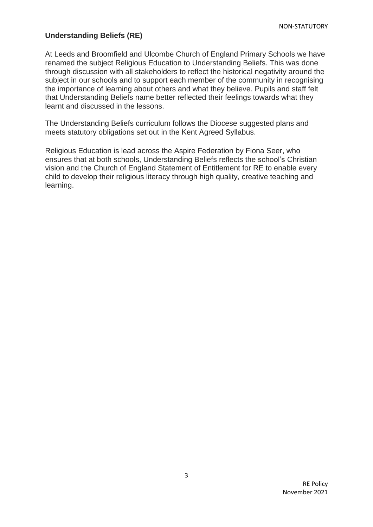### **Understanding Beliefs (RE)**

At Leeds and Broomfield and Ulcombe Church of England Primary Schools we have renamed the subject Religious Education to Understanding Beliefs. This was done through discussion with all stakeholders to reflect the historical negativity around the subject in our schools and to support each member of the community in recognising the importance of learning about others and what they believe. Pupils and staff felt that Understanding Beliefs name better reflected their feelings towards what they learnt and discussed in the lessons.

The Understanding Beliefs curriculum follows the Diocese suggested plans and meets statutory obligations set out in the Kent Agreed Syllabus.

Religious Education is lead across the Aspire Federation by Fiona Seer, who ensures that at both schools, Understanding Beliefs reflects the school's Christian vision and the Church of England Statement of Entitlement for RE to enable every child to develop their religious literacy through high quality, creative teaching and learning.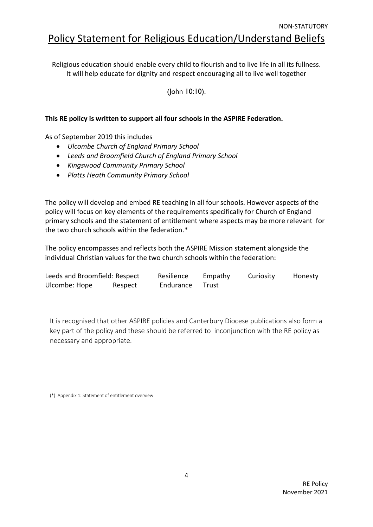Religious education should enable every child to flourish and to live life in all its fullness. It will help educate for dignity and respect encouraging all to live well together

(John 10:10).

## **This RE policy is written to support all four schools in the ASPIRE Federation.**

As of September 2019 this includes

- *Ulcombe Church of England Primary School*
- *Leeds and Broomfield Church of England Primary School*
- *Kingswood Community Primary School*
- *Platts Heath Community Primary School*

The policy will develop and embed RE teaching in all four schools. However aspects of the policy will focus on key elements of the requirements specifically for Church of England primary schools and the statement of entitlement where aspects may be more relevant for the two church schools within the federation.\*

The policy encompasses and reflects both the ASPIRE Mission statement alongside the individual Christian values for the two church schools within the federation:

| Leeds and Broomfield: Respect |         | Resilience | Empathy | Curiosity | Honesty |
|-------------------------------|---------|------------|---------|-----------|---------|
| Ulcombe: Hope                 | Respect | Endurance  | - Trust |           |         |

It is recognised that other ASPIRE policies and Canterbury Diocese publications also form a key part of the policy and these should be referred to inconjunction with the RE policy as necessary and appropriate.

(\*) Appendix 1: Statement of entitlement overview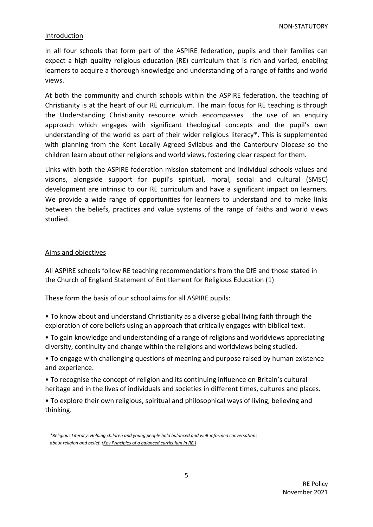#### Introduction

In all four schools that form part of the ASPIRE federation, pupils and their families can expect a high quality religious education (RE) curriculum that is rich and varied, enabling learners to acquire a thorough knowledge and understanding of a range of faiths and world views.

At both the community and church schools within the ASPIRE federation, the teaching of Christianity is at the heart of our RE curriculum. The main focus for RE teaching is through the Understanding Christianity resource which encompasses the use of an enquiry approach which engages with significant theological concepts and the pupil's own understanding of the world as part of their wider religious literacy\*. This is supplemented with planning from the Kent Locally Agreed Syllabus and the Canterbury Dioce*se* so the children learn about other religions and world views, fostering clear respect for them.

Links with both the ASPIRE federation mission statement and individual schools values and visions, alongside support for pupil's spiritual, moral, social and cultural (SMSC) development are intrinsic to our RE curriculum and have a significant impact on learners. We provide a wide range of opportunities for learners to understand and to make links between the beliefs, practices and value systems of the range of faiths and world views studied.

#### Aims and objectives

All ASPIRE schools follow RE teaching recommendations from the DfE and those stated in the Church of England Statement of Entitlement for Religious Education (1)

These form the basis of our school aims for all ASPIRE pupils:

- To know about and understand Christianity as a diverse global living faith through the exploration of core beliefs using an approach that critically engages with biblical text.
- To gain knowledge and understanding of a range of religions and worldviews appreciating diversity, continuity and change within the religions and worldviews being studied.

• To engage with challenging questions of meaning and purpose raised by human existence and experience.

• To recognise the concept of religion and its continuing influence on Britain's cultural heritage and in the lives of individuals and societies in different times, cultures and places.

• To explore their own religious, spiritual and philosophical ways of living, believing and thinking.

*<sup>\*</sup>Religious Literacy: Helping children and young people hold balanced and well-informed conversations about religion and belief. [\(Key Principles of a balanced curriculum in RE.\)](https://www.churchofengland.org/sites/default/files/2018-03/Key%20principles%20of%20a%20balanced%20curriculum%20in%20RE_0.pdf)*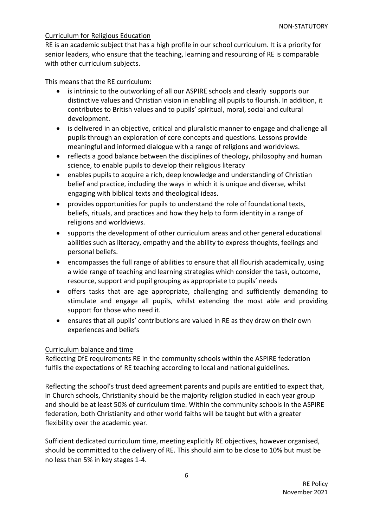#### Curriculum for Religious Education

RE is an academic subject that has a high profile in our school curriculum. It is a priority for senior leaders, who ensure that the teaching, learning and resourcing of RE is comparable with other curriculum subjects.

This means that the RE curriculum:

- is intrinsic to the outworking of all our ASPIRE schools and clearly supports our distinctive values and Christian vision in enabling all pupils to flourish. In addition, it contributes to British values and to pupils' spiritual, moral, social and cultural development.
- is delivered in an objective, critical and pluralistic manner to engage and challenge all pupils through an exploration of core concepts and questions. Lessons provide meaningful and informed dialogue with a range of religions and worldviews.
- reflects a good balance between the disciplines of theology, philosophy and human science, to enable pupils to develop their religious literacy
- enables pupils to acquire a rich, deep knowledge and understanding of Christian belief and practice, including the ways in which it is unique and diverse, whilst engaging with biblical texts and theological ideas.
- provides opportunities for pupils to understand the role of foundational texts, beliefs, rituals, and practices and how they help to form identity in a range of religions and worldviews.
- supports the development of other curriculum areas and other general educational abilities such as literacy, empathy and the ability to express thoughts, feelings and personal beliefs.
- encompasses the full range of abilities to ensure that all flourish academically, using a wide range of teaching and learning strategies which consider the task, outcome, resource, support and pupil grouping as appropriate to pupils' needs
- offers tasks that are age appropriate, challenging and sufficiently demanding to stimulate and engage all pupils, whilst extending the most able and providing support for those who need it.
- ensures that all pupils' contributions are valued in RE as they draw on their own experiences and beliefs

### Curriculum balance and time

Reflecting DfE requirements RE in the community schools within the ASPIRE federation fulfils the expectations of RE teaching according to local and national guidelines.

Reflecting the school's trust deed agreement parents and pupils are entitled to expect that, in Church schools, Christianity should be the majority religion studied in each year group and should be at least 50% of curriculum time. Within the community schools in the ASPIRE federation, both Christianity and other world faiths will be taught but with a greater flexibility over the academic year.

Sufficient dedicated curriculum time, meeting explicitly RE objectives, however organised, should be committed to the delivery of RE. This should aim to be close to 10% but must be no less than 5% in key stages 1-4.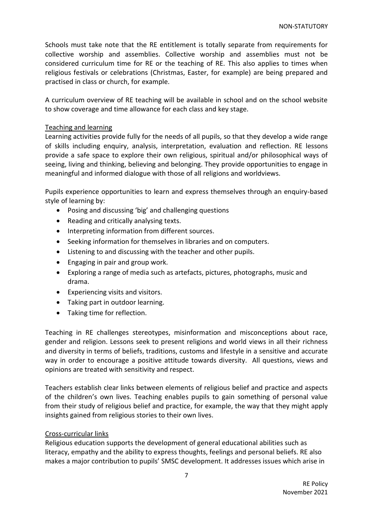Schools must take note that the RE entitlement is totally separate from requirements for collective worship and assemblies. Collective worship and assemblies must not be considered curriculum time for RE or the teaching of RE. This also applies to times when religious festivals or celebrations (Christmas, Easter, for example) are being prepared and practised in class or church, for example.

A curriculum overview of RE teaching will be available in school and on the school website to show coverage and time allowance for each class and key stage.

#### Teaching and learning

Learning activities provide fully for the needs of all pupils, so that they develop a wide range of skills including enquiry, analysis, interpretation, evaluation and reflection. RE lessons provide a safe space to explore their own religious, spiritual and/or philosophical ways of seeing, living and thinking, believing and belonging. They provide opportunities to engage in meaningful and informed dialogue with those of all religions and worldviews.

Pupils experience opportunities to learn and express themselves through an enquiry-based style of learning by:

- Posing and discussing 'big' and challenging questions
- Reading and critically analysing texts.
- Interpreting information from different sources.
- Seeking information for themselves in libraries and on computers.
- Listening to and discussing with the teacher and other pupils.
- Engaging in pair and group work.
- Exploring a range of media such as artefacts, pictures, photographs, music and drama.
- Experiencing visits and visitors.
- Taking part in outdoor learning.
- Taking time for reflection.

Teaching in RE challenges stereotypes, misinformation and misconceptions about race, gender and religion. Lessons seek to present religions and world views in all their richness and diversity in terms of beliefs, traditions, customs and lifestyle in a sensitive and accurate way in order to encourage a positive attitude towards diversity. All questions, views and opinions are treated with sensitivity and respect.

Teachers establish clear links between elements of religious belief and practice and aspects of the children's own lives. Teaching enables pupils to gain something of personal value from their study of religious belief and practice, for example, the way that they might apply insights gained from religious stories to their own lives.

#### Cross-curricular links

Religious education supports the development of general educational abilities such as literacy, empathy and the ability to express thoughts, feelings and personal beliefs. RE also makes a major contribution to pupils' SMSC development. It addresses issues which arise in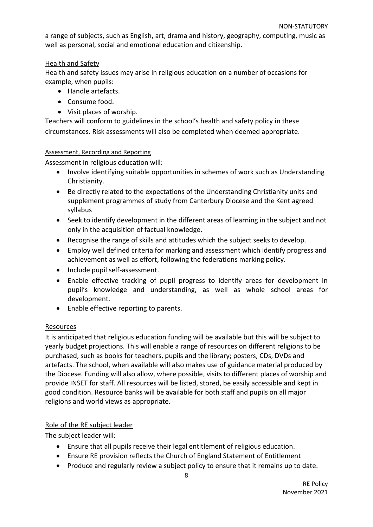a range of subjects, such as English, art, drama and history, geography, computing, music as well as personal, social and emotional education and citizenship.

### Health and Safety

Health and safety issues may arise in religious education on a number of occasions for example, when pupils:

- Handle artefacts.
- Consume food.
- Visit places of worship.

Teachers will conform to guidelines in the school's health and safety policy in these circumstances. Risk assessments will also be completed when deemed appropriate.

### Assessment, Recording and Reporting

Assessment in religious education will:

- Involve identifying suitable opportunities in schemes of work such as Understanding Christianity.
- Be directly related to the expectations of the Understanding Christianity units and supplement programmes of study from Canterbury Diocese and the Kent agreed syllabus
- Seek to identify development in the different areas of learning in the subject and not only in the acquisition of factual knowledge.
- Recognise the range of skills and attitudes which the subject seeks to develop.
- Employ well defined criteria for marking and assessment which identify progress and achievement as well as effort, following the federations marking policy.
- Include pupil self-assessment.
- Enable effective tracking of pupil progress to identify areas for development in pupil's knowledge and understanding, as well as whole school areas for development.
- Enable effective reporting to parents.

## Resources

It is anticipated that religious education funding will be available but this will be subject to yearly budget projections. This will enable a range of resources on different religions to be purchased, such as books for teachers, pupils and the library; posters, CDs, DVDs and artefacts. The school, when available will also makes use of guidance material produced by the Diocese. Funding will also allow, where possible, visits to different places of worship and provide INSET for staff. All resources will be listed, stored, be easily accessible and kept in good condition. Resource banks will be available for both staff and pupils on all major religions and world views as appropriate.

## Role of the RE subject leader

The subject leader will:

- Ensure that all pupils receive their legal entitlement of religious education.
- Ensure RE provision reflects the [Church of England Statement of Entitlement](file:///C:/Volumes/REBECCA%20CCO/•https:/www.churchofengland.org/sites/default/files/2019-02/RE%20Statement%20of%20Entitlement%20for%20Church%20Schools.pdf)
- Produce and regularly review a subject policy to ensure that it remains up to date.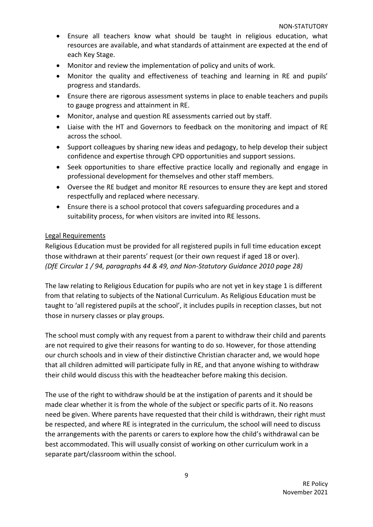- Ensure all teachers know what should be taught in religious education, what resources are available, and what standards of attainment are expected at the end of each Key Stage.
- Monitor and review the implementation of policy and units of work.
- Monitor the quality and effectiveness of teaching and learning in RE and pupils' progress and standards.
- Ensure there are rigorous assessment systems in place to enable teachers and pupils to gauge progress and attainment in RE.
- Monitor, analyse and question RE assessments carried out by staff.
- Liaise with the HT and Governors to feedback on the monitoring and impact of RE across the school.
- Support colleagues by sharing new ideas and pedagogy, to help develop their subject confidence and expertise through CPD opportunities and support sessions.
- Seek opportunities to share effective practice locally and regionally and engage in professional development for themselves and other staff members.
- Oversee the RE budget and monitor RE resources to ensure they are kept and stored respectfully and replaced where necessary.
- Ensure there is a school protocol that covers safeguarding procedures and a suitability process, for when visitors are invited into RE lessons.

### Legal Requirements

Religious Education must be provided for all registered pupils in full time education except those withdrawn at their parents' request (or their own request if aged 18 or over). *(DfE Circular 1 / 94, paragraphs 44 & 49, and Non-Statutory Guidance 2010 page 28)*

The law relating to Religious Education for pupils who are not yet in key stage 1 is different from that relating to subjects of the National Curriculum. As Religious Education must be taught to 'all registered pupils at the school', it includes pupils in reception classes, but not those in nursery classes or play groups.

The school must comply with any request from a parent to withdraw their child and parents are not required to give their reasons for wanting to do so. However, for those attending our church schools and in view of their distinctive Christian character and, we would hope that all children admitted will participate fully in RE, and that anyone wishing to withdraw their child would discuss this with the headteacher before making this decision.

The use of the right to withdraw should be at the instigation of parents and it should be made clear whether it is from the whole of the subject or specific parts of it. No reasons need be given. Where parents have requested that their child is withdrawn, their right must be respected, and where RE is integrated in the curriculum, the school will need to discuss the arrangements with the parents or carers to explore how the child's withdrawal can be best accommodated. This will usually consist of working on other curriculum work in a separate part/classroom within the school.